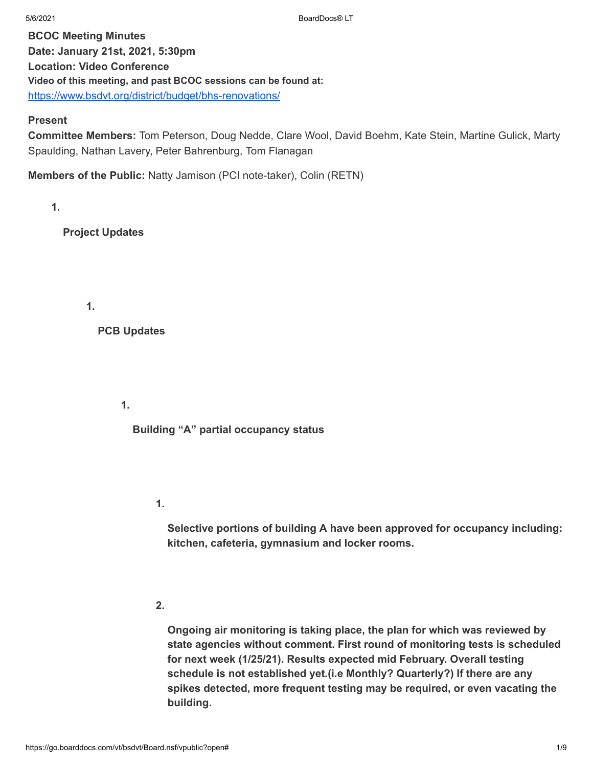**BCOC Meeting Minutes Date: January 21st, 2021, 5:30pm Location: Video Conference Video of this meeting, and past BCOC sessions can be found at:** <https://www.bsdvt.org/district/budget/bhs-renovations/>

#### **Present**

**Committee Members:** Tom Peterson, Doug Nedde, Clare Wool, David Boehm, Kate Stein, Martine Gulick, Marty Spaulding, Nathan Lavery, Peter Bahrenburg, Tom Flanagan

**Members of the Public:** Natty Jamison (PCI note-taker), Colin (RETN)

**1.**

**Project Updates**

**1.**

**PCB Updates**

**1.**

**Building "A" partial occupancy status**

**1.**

**Selective portions of building A have been approved for occupancy including: kitchen, cafeteria, gymnasium and locker rooms.**

**2.**

**Ongoing air monitoring is taking place, the plan for which was reviewed by state agencies without comment. First round of monitoring tests is scheduled for next week (1/25/21). Results expected mid February. Overall testing schedule is not established yet.(i.e Monthly? Quarterly?) If there are any spikes detected, more frequent testing may be required, or even vacating the building.**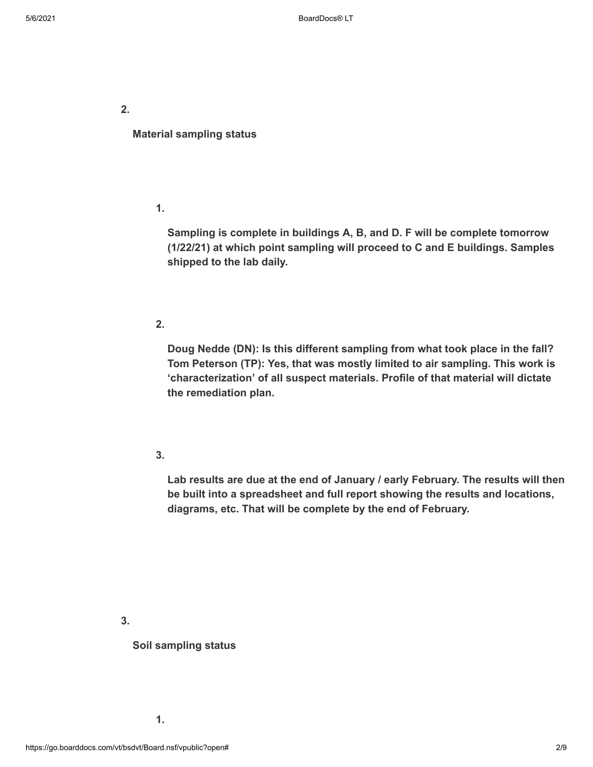**Material sampling status**

**1.**

**Sampling is complete in buildings A, B, and D. F will be complete tomorrow (1/22/21) at which point sampling will proceed to C and E buildings. Samples shipped to the lab daily.**

# **2.**

**Doug Nedde (DN): Is this different sampling from what took place in the fall? Tom Peterson (TP): Yes, that was mostly limited to air sampling. This work is 'characterization' of all suspect materials. Profile of that material will dictate the remediation plan.**

#### **3.**

**Lab results are due at the end of January / early February. The results will then be built into a spreadsheet and full report showing the results and locations, diagrams, etc. That will be complete by the end of February.**

**3.**

#### **Soil sampling status**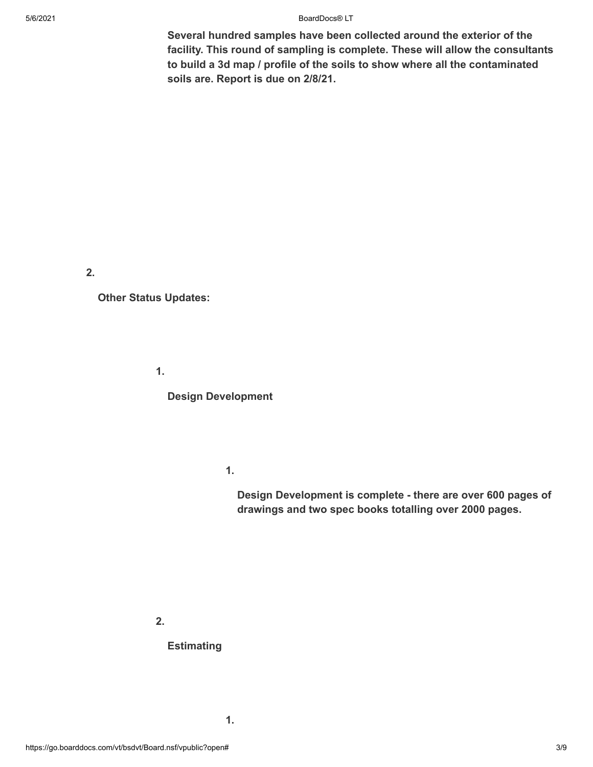#### 5/6/2021 BoardDocs® LT

**Several hundred samples have been collected around the exterior of the facility. This round of sampling is complete. These will allow the consultants to build a 3d map / profile of the soils to show where all the contaminated soils are. Report is due on 2/8/21.**

**2.**

**Other Status Updates:**

**1.**

**Design Development**

**1.**

**Design Development is complete - there are over 600 pages of drawings and two spec books totalling over 2000 pages.**

**2.**

## **Estimating**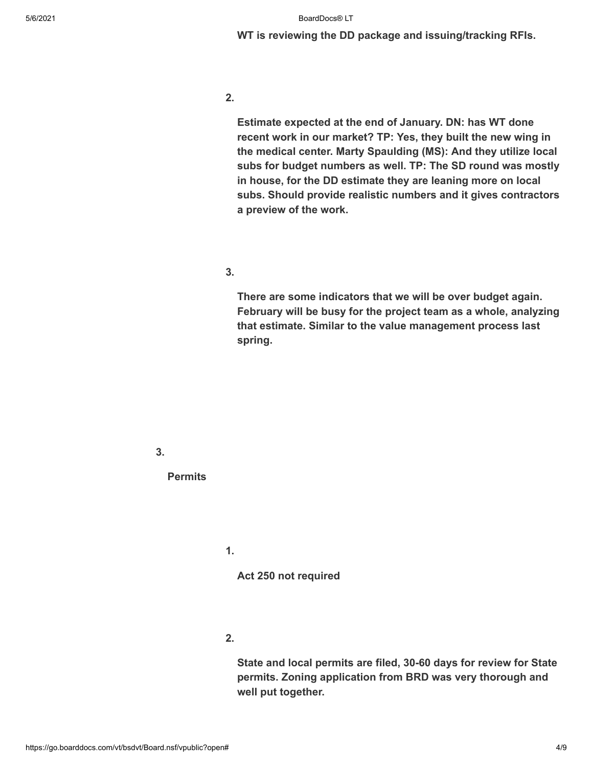**WT is reviewing the DD package and issuing/tracking RFIs.**

**2.**

**Estimate expected at the end of January. DN: has WT done recent work in our market? TP: Yes, they built the new wing in the medical center. Marty Spaulding (MS): And they utilize local subs for budget numbers as well. TP: The SD round was mostly in house, for the DD estimate they are leaning more on local subs. Should provide realistic numbers and it gives contractors a preview of the work.**

**3.**

**There are some indicators that we will be over budget again. February will be busy for the project team as a whole, analyzing that estimate. Similar to the value management process last spring.**

**3.**

**Permits**

**1.**

**Act 250 not required**

**2.**

**State and local permits are filed, 30-60 days for review for State permits. Zoning application from BRD was very thorough and well put together.**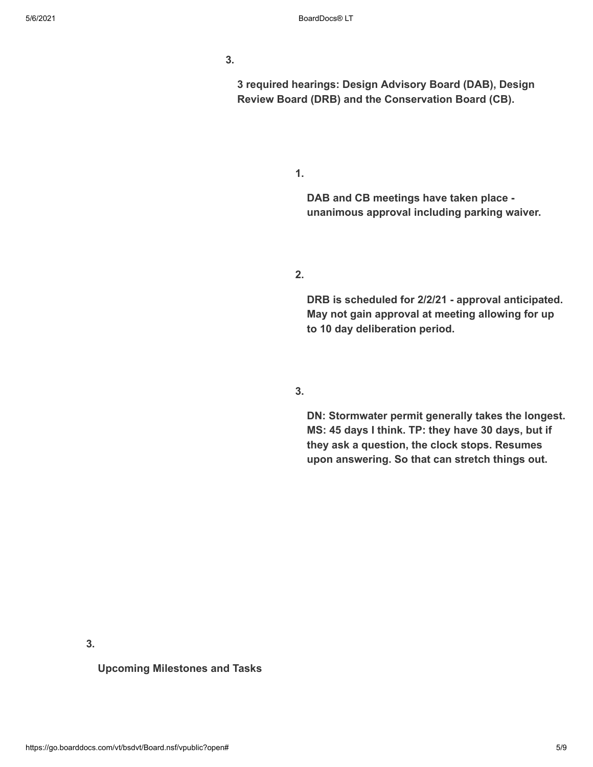**3 required hearings: Design Advisory Board (DAB), Design Review Board (DRB) and the Conservation Board (CB).**

**1.**

**DAB and CB meetings have taken place unanimous approval including parking waiver.**

**2.**

**DRB is scheduled for 2/2/21 - approval anticipated. May not gain approval at meeting allowing for up to 10 day deliberation period.**

**3.**

**DN: Stormwater permit generally takes the longest. MS: 45 days I think. TP: they have 30 days, but if they ask a question, the clock stops. Resumes upon answering. So that can stretch things out.**

**3.**

**Upcoming Milestones and Tasks**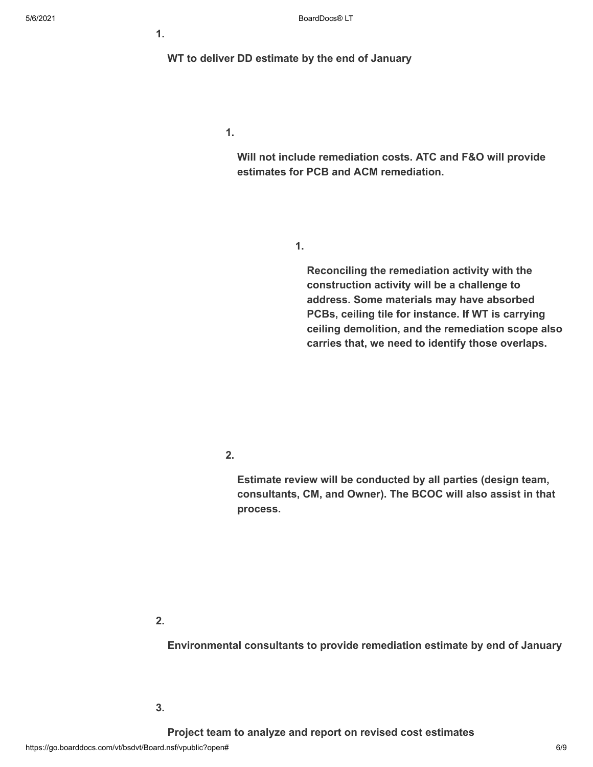**WT to deliver DD estimate by the end of January**

**1.**

**Will not include remediation costs. ATC and F&O will provide estimates for PCB and ACM remediation.**

**1.**

**Reconciling the remediation activity with the construction activity will be a challenge to address. Some materials may have absorbed PCBs, ceiling tile for instance. If WT is carrying ceiling demolition, and the remediation scope also carries that, we need to identify those overlaps.**

**2.**

**Estimate review will be conducted by all parties (design team, consultants, CM, and Owner). The BCOC will also assist in that process.**

**2.**

**Environmental consultants to provide remediation estimate by end of January**

**3.**

**Project team to analyze and report on revised cost estimates**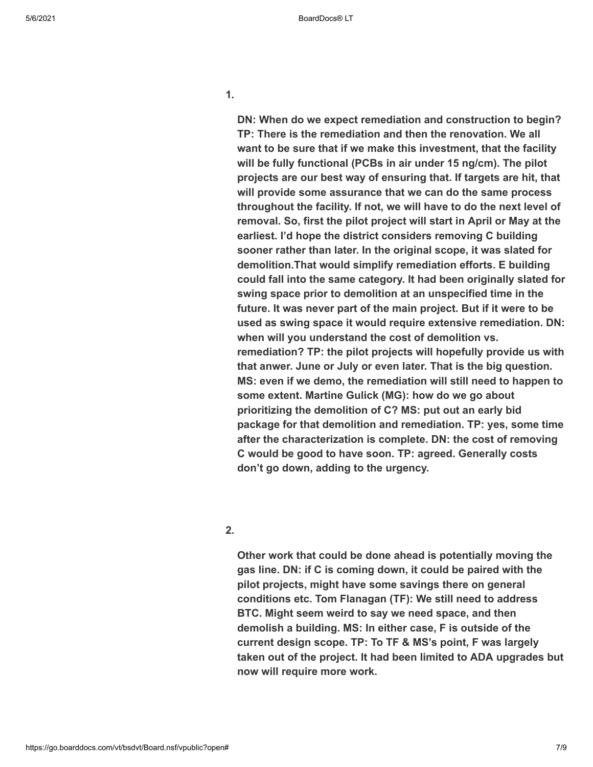**DN: When do we expect remediation and construction to begin? TP: There is the remediation and then the renovation. We all want to be sure that if we make this investment, that the facility will be fully functional (PCBs in air under 15 ng/cm). The pilot projects are our best way of ensuring that. If targets are hit, that will provide some assurance that we can do the same process throughout the facility. If not, we will have to do the next level of removal. So, first the pilot project will start in April or May at the earliest. I'd hope the district considers removing C building sooner rather than later. In the original scope, it was slated for demolition.That would simplify remediation efforts. E building could fall into the same category. It had been originally slated for swing space prior to demolition at an unspecified time in the future. It was never part of the main project. But if it were to be used as swing space it would require extensive remediation. DN: when will you understand the cost of demolition vs. remediation? TP: the pilot projects will hopefully provide us with that anwer. June or July or even later. That is the big question. MS: even if we demo, the remediation will still need to happen to some extent. Martine Gulick (MG): how do we go about prioritizing the demolition of C? MS: put out an early bid package for that demolition and remediation. TP: yes, some time after the characterization is complete. DN: the cost of removing C would be good to have soon. TP: agreed. Generally costs don't go down, adding to the urgency.**

#### **2.**

**Other work that could be done ahead is potentially moving the gas line. DN: if C is coming down, it could be paired with the pilot projects, might have some savings there on general conditions etc. Tom Flanagan (TF): We still need to address BTC. Might seem weird to say we need space, and then demolish a building. MS: In either case, F is outside of the current design scope. TP: To TF & MS's point, F was largely taken out of the project. It had been limited to ADA upgrades but now will require more work.**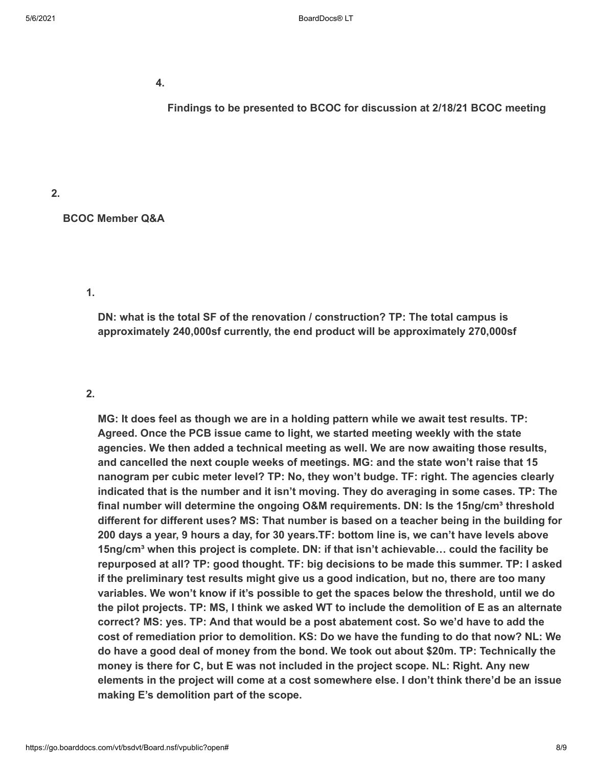**Findings to be presented to BCOC for discussion at 2/18/21 BCOC meeting**

**2.**

**BCOC Member Q&A**

# **1.**

**DN: what is the total SF of the renovation / construction? TP: The total campus is approximately 240,000sf currently, the end product will be approximately 270,000sf**

### **2.**

**MG: It does feel as though we are in a holding pattern while we await test results. TP: Agreed. Once the PCB issue came to light, we started meeting weekly with the state agencies. We then added a technical meeting as well. We are now awaiting those results, and cancelled the next couple weeks of meetings. MG: and the state won't raise that 15 nanogram per cubic meter level? TP: No, they won't budge. TF: right. The agencies clearly indicated that is the number and it isn't moving. They do averaging in some cases. TP: The final number will determine the ongoing O&M requirements. DN: Is the 15ng/cm³ threshold different for different uses? MS: That number is based on a teacher being in the building for 200 days a year, 9 hours a day, for 30 years.TF: bottom line is, we can't have levels above 15ng/cm³ when this project is complete. DN: if that isn't achievable… could the facility be repurposed at all? TP: good thought. TF: big decisions to be made this summer. TP: I asked if the preliminary test results might give us a good indication, but no, there are too many variables. We won't know if it's possible to get the spaces below the threshold, until we do** the pilot projects. TP: MS, I think we asked WT to include the demolition of E as an alternate **correct? MS: yes. TP: And that would be a post abatement cost. So we'd have to add the cost of remediation prior to demolition. KS: Do we have the funding to do that now? NL: We do have a good deal of money from the bond. We took out about \$20m. TP: Technically the money is there for C, but E was not included in the project scope. NL: Right. Any new elements in the project will come at a cost somewhere else. I don't think there'd be an issue making E's demolition part of the scope.**